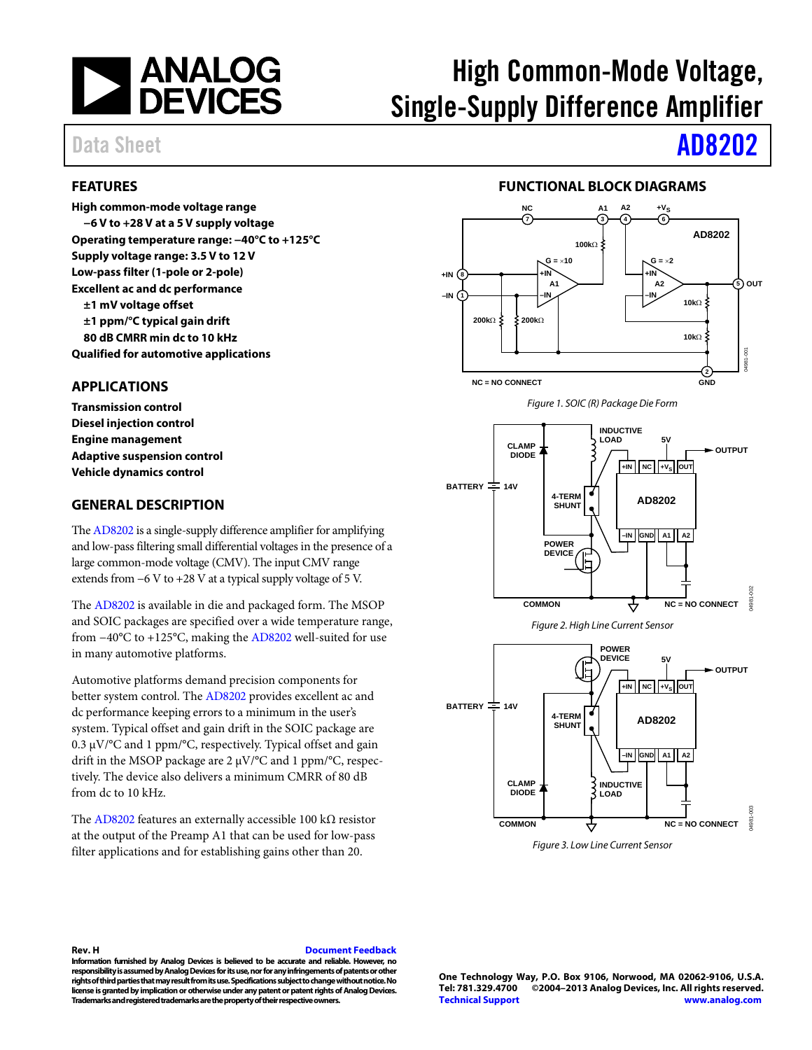

# High Common-Mode Voltage, Single-Supply Difference Amplifier

## <span id="page-0-0"></span>**FEATURES**

**High common-mode voltage range −6 V to +28 V at a 5 V supply voltage Operating temperature range: −40°C to +125°C Supply voltage range: 3.5 V to 12 V Low-pass filter (1-pole or 2-pole) Excellent ac and dc performance ±1 mV voltage offset**

**±1 ppm/°C typical gain drift**

**80 dB CMRR min dc to 10 kHz**

**Qualified for automotive applications**

## <span id="page-0-1"></span>**APPLICATIONS**

**Transmission control Diesel injection control Engine management Adaptive suspension control Vehicle dynamics control**

### <span id="page-0-2"></span>**GENERAL DESCRIPTION**

Th[e AD8202](http://www.analog.com/AD8202) is a single-supply difference amplifier for amplifying and low-pass filtering small differential voltages in the presence of a large common-mode voltage (CMV). The input CMV range extends from −6 V to +28 V at a typical supply voltage of 5 V.

The [AD8202](http://www.analog.com/AD8202) is available in die and packaged form. The MSOP and SOIC packages are specified over a wide temperature range, from −40°C to +125°C, making th[e AD8202](http://www.analog.com/AD8202) well-suited for use in many automotive platforms.

Automotive platforms demand precision components for better system control. The [AD8202](http://www.analog.com/AD8202) provides excellent ac and dc performance keeping errors to a minimum in the user's system. Typical offset and gain drift in the SOIC package are 0.3 µV/°C and 1 ppm/°C, respectively. Typical offset and gain drift in the MSOP package are 2 µV/°C and 1 ppm/°C, respectively. The device also delivers a minimum CMRR of 80 dB from dc to 10 kHz.

The [AD8202](http://www.analog.com/AD8202) features an externally accessible 100 k $\Omega$  resistor at the output of the Preamp A1 that can be used for low-pass filter applications and for establishing gains other than 20.

# Data Sheet **[AD8202](http://www.analog.com/AD8202?doc=AD8202.pdf)**

## **FUNCTIONAL BLOCK DIAGRAMS**

<span id="page-0-3"></span>





*Figure 2. High Line Current Sensor*

<span id="page-0-4"></span>

<span id="page-0-5"></span>*Figure 3. Low Line Current Sensor*

#### **Rev. H [Document Feedback](https://form.analog.com/Form_Pages/feedback/documentfeedback.aspx?doc=AD8202.pdf&product=AD8202&rev=H)**

**Information furnished by Analog Devices is believed to be accurate and reliable. However, no responsibility is assumed by Analog Devices for its use, nor for any infringements of patents or other rights of third parties that may result from its use. Specifications subject to change without notice. No license is granted by implication or otherwise under any patent or patent rights of Analog Devices. Trademarks and registered trademarks are the property of their respective owners.**

**One Technology Way, P.O. Box 9106, Norwood, MA 02062-9106, U.S.A. Tel: 781.329.4700 ©2004–2013 Analog Devices, Inc. All rights reserved. [Technical Support](http://www.analog.com/en/content/technical_support_page/fca.html) [www.analog.com](http://www.analog.com/)**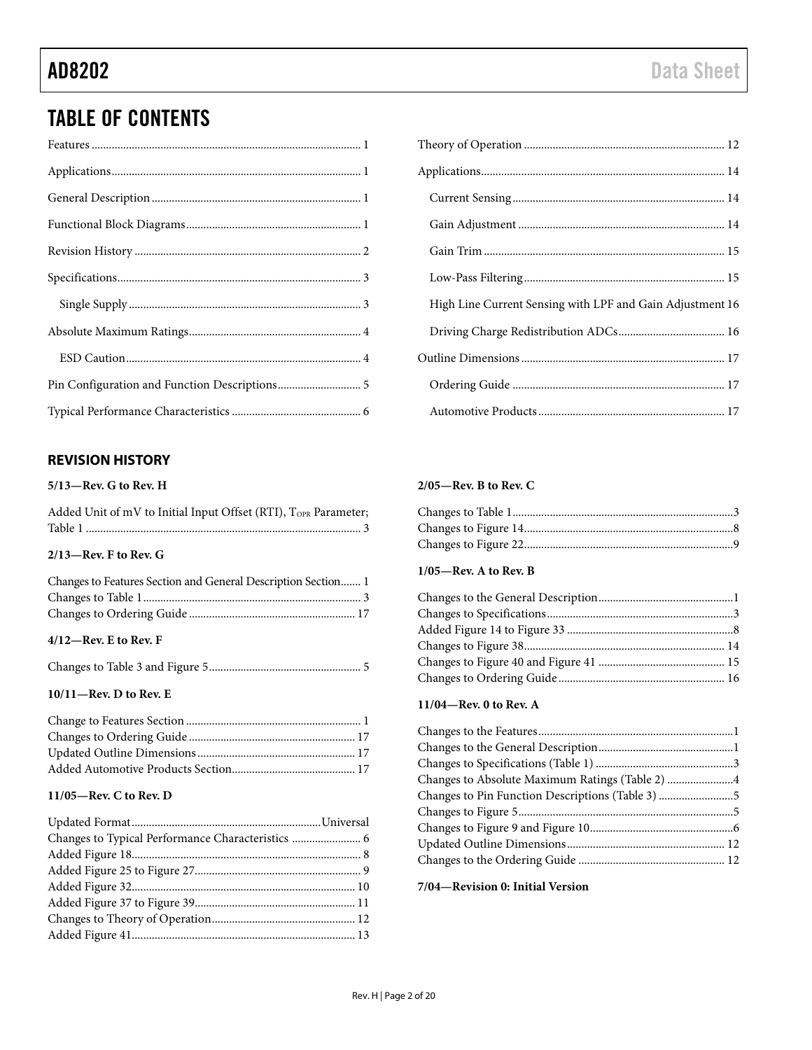## TABLE OF CONTENTS

## <span id="page-1-0"></span>**REVISION HISTORY**

### **5/13—Rev. G to Rev. H**

| Added Unit of mV to Initial Input Offset (RTI), TOPR Parameter; |  |
|-----------------------------------------------------------------|--|
|                                                                 |  |

## **2/13—Rev. F to Rev. G**

| Changes to Features Section and General Description Section 1 |  |
|---------------------------------------------------------------|--|
|                                                               |  |
|                                                               |  |

### **4/12—Rev. E to Rev. F**

#### **10/11—Rev. D to Rev. E**

## **11/05—Rev. C to Rev. D**

| High Line Current Sensing with LPF and Gain Adjustment 16 |
|-----------------------------------------------------------|
|                                                           |
|                                                           |
|                                                           |
|                                                           |

### **2/05—Rev. B to Rev. C**

## **1/05—Rev. A to Rev. B**

#### **11/04—Rev. 0 to Rev. A**

| Changes to Pin Function Descriptions (Table 3) 5 |  |
|--------------------------------------------------|--|
|                                                  |  |
|                                                  |  |
|                                                  |  |
|                                                  |  |

### **7/04—Revision 0: Initial Version**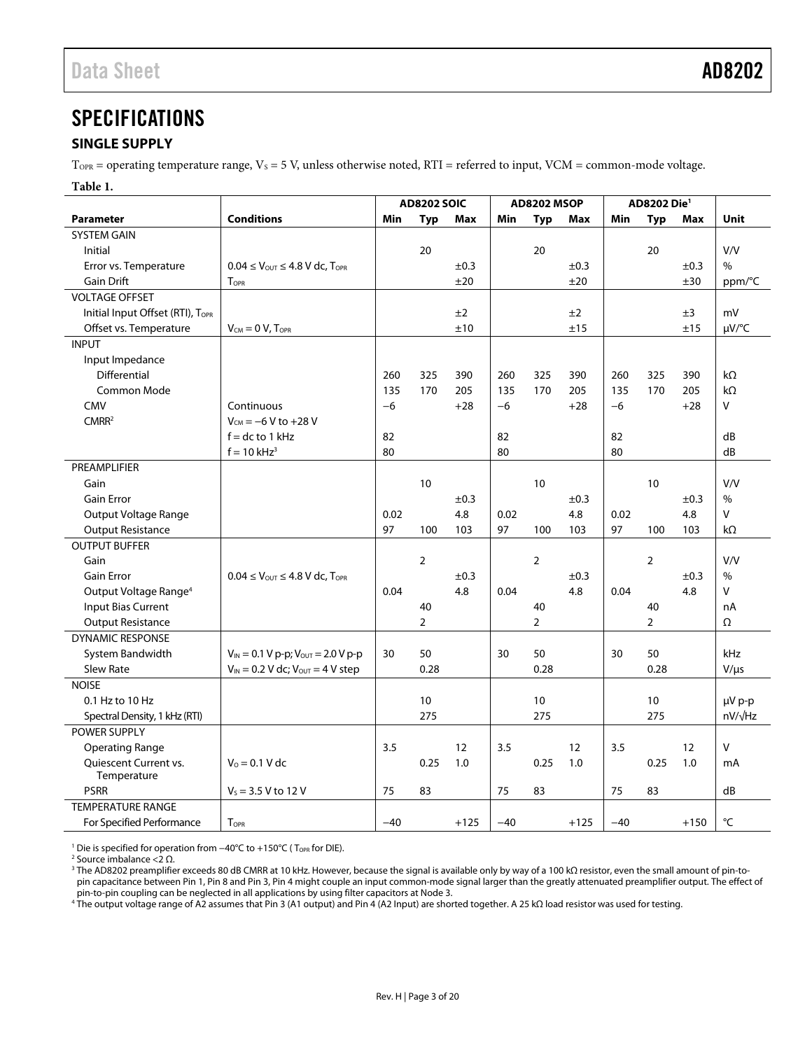## <span id="page-2-0"></span>**SPECIFICATIONS**

## <span id="page-2-1"></span>**SINGLE SUPPLY**

 $T<sub>OPR</sub>$  = operating temperature range,  $V<sub>S</sub>$  = 5 V, unless otherwise noted, RTI = referred to input, VCM = common-mode voltage.

#### **Table 1.**

|                                   |                                                                    | <b>AD8202 SOIC</b> |                 | <b>AD8202 MSOP</b> |       |                 | AD8202 Die <sup>1</sup> |       |                |           |                    |
|-----------------------------------|--------------------------------------------------------------------|--------------------|-----------------|--------------------|-------|-----------------|-------------------------|-------|----------------|-----------|--------------------|
| <b>Parameter</b>                  | <b>Conditions</b>                                                  | Min                | <b>Typ</b>      | <b>Max</b>         | Min   | <b>Typ</b>      | Max                     | Min   | <b>Typ</b>     | Max       | <b>Unit</b>        |
| <b>SYSTEM GAIN</b>                |                                                                    |                    |                 |                    |       |                 |                         |       |                |           |                    |
| Initial                           |                                                                    |                    | 20              |                    |       | 20              |                         |       | 20             |           | V/V                |
| Error vs. Temperature             | $0.04 \leq V_{\text{OUT}} \leq 4.8 \text{ V}$ dc, $T_{\text{OPR}}$ |                    |                 | $\pm 0.3$          |       |                 | $\pm 0.3$               |       |                | ±0.3      | $\%$               |
| <b>Gain Drift</b>                 | $T_{\text{OPR}}$                                                   |                    |                 | ±20                |       |                 | ±20                     |       |                | ±30       | ppm/°C             |
| <b>VOLTAGE OFFSET</b>             |                                                                    |                    |                 |                    |       |                 |                         |       |                |           |                    |
| Initial Input Offset (RTI), TOPR  |                                                                    |                    |                 | ±2                 |       |                 | ±2                      |       |                | ±3        | mV                 |
| Offset vs. Temperature            | $V_{CM} = 0 V$ , $T_{OPR}$                                         |                    |                 | ±10                |       |                 | ±15                     |       |                | ±15       | µV/°C              |
| <b>INPUT</b>                      |                                                                    |                    |                 |                    |       |                 |                         |       |                |           |                    |
| Input Impedance                   |                                                                    |                    |                 |                    |       |                 |                         |       |                |           |                    |
| Differential                      |                                                                    | 260                | 325             | 390                | 260   | 325             | 390                     | 260   | 325            | 390       | $k\Omega$          |
| <b>Common Mode</b>                |                                                                    | 135                | 170             | 205                | 135   | 170             | 205                     | 135   | 170            | 205       | $k\Omega$          |
| CMV                               | Continuous                                                         | $-6$               |                 | $+28$              | $-6$  |                 | $+28$                   | $-6$  |                | $+28$     | v                  |
| CMRR <sup>2</sup>                 | $V_{CM} = -6 V$ to $+28 V$                                         |                    |                 |                    |       |                 |                         |       |                |           |                    |
|                                   | $f = dc$ to 1 kHz                                                  | 82                 |                 |                    | 82    |                 |                         | 82    |                |           | dB                 |
|                                   | $f = 10$ kHz <sup>3</sup>                                          | 80                 |                 |                    | 80    |                 |                         | 80    |                |           | dB                 |
| PREAMPLIFIER                      |                                                                    |                    |                 |                    |       |                 |                         |       |                |           |                    |
| Gain                              |                                                                    |                    | 10              |                    |       | 10              |                         |       | 10             |           | V/V                |
| <b>Gain Error</b>                 |                                                                    |                    |                 | ±0.3               |       |                 | ±0.3                    |       |                | ±0.3      | $\%$               |
| Output Voltage Range              |                                                                    | 0.02               |                 | 4.8                | 0.02  |                 | 4.8                     | 0.02  |                | 4.8       | V                  |
| <b>Output Resistance</b>          |                                                                    | 97                 | 100             | 103                | 97    | 100             | 103                     | 97    | 100            | 103       | kΩ                 |
| <b>OUTPUT BUFFER</b>              |                                                                    |                    |                 |                    |       |                 |                         |       |                |           |                    |
| Gain                              |                                                                    |                    | $\overline{2}$  |                    |       | $\overline{2}$  |                         |       | $\overline{2}$ |           | V/V                |
| <b>Gain Error</b>                 | $0.04 \leq V_{\text{OUT}} \leq 4.8 \text{ V}$ dc, T <sub>OPR</sub> |                    |                 | $\pm 0.3$          |       |                 | $\pm 0.3$               |       |                | $\pm 0.3$ | $\%$               |
| Output Voltage Range <sup>4</sup> |                                                                    | 0.04               |                 | 4.8                | 0.04  |                 | 4.8                     | 0.04  |                | 4.8       | v                  |
| <b>Input Bias Current</b>         |                                                                    |                    | 40              |                    |       | 40              |                         |       | 40             |           | nA                 |
| <b>Output Resistance</b>          |                                                                    |                    | $\overline{2}$  |                    |       | $\overline{2}$  |                         |       | $\overline{2}$ |           | Ω                  |
| <b>DYNAMIC RESPONSE</b>           |                                                                    |                    |                 |                    |       |                 |                         |       |                |           |                    |
| System Bandwidth                  | $V_{IN} = 0.1 V p-p$ ; $V_{OUT} = 2.0 V p-p$                       | 30                 | 50              |                    | 30    | 50              |                         | 30    | 50             |           | kHz                |
| Slew Rate                         | $V_{IN} = 0.2 V$ dc; $V_{OUT} = 4 V$ step                          |                    | 0.28            |                    |       | 0.28            |                         |       | 0.28           |           | $V/\mu s$          |
| <b>NOISE</b>                      |                                                                    |                    |                 |                    |       |                 |                         |       |                |           |                    |
| 0.1 Hz to 10 Hz                   |                                                                    |                    | 10 <sup>°</sup> |                    |       | 10 <sup>°</sup> |                         |       | 10             |           | µV p-p             |
| Spectral Density, 1 kHz (RTI)     |                                                                    |                    | 275             |                    |       | 275             |                         |       | 275            |           | nV/ <sub>VHz</sub> |
| POWER SUPPLY                      |                                                                    |                    |                 |                    |       |                 |                         |       |                |           |                    |
| <b>Operating Range</b>            |                                                                    | 3.5                |                 | 12                 | 3.5   |                 | 12                      | 3.5   |                | 12        | $\vee$             |
| Quiescent Current vs.             | $V_0 = 0.1 V dc$                                                   |                    | 0.25            | 1.0                |       | 0.25            | 1.0                     |       | 0.25           | 1.0       | mA                 |
| Temperature                       |                                                                    |                    |                 |                    |       |                 |                         |       |                |           |                    |
| <b>PSRR</b>                       | $V_s = 3.5 V$ to 12 V                                              | 75                 | 83              |                    | 75    | 83              |                         | 75    | 83             |           | dB                 |
| <b>TEMPERATURE RANGE</b>          |                                                                    |                    |                 |                    |       |                 |                         |       |                |           |                    |
| For Specified Performance         | TOPR                                                               | $-40$              |                 | $+125$             | $-40$ |                 | $+125$                  | $-40$ |                | $+150$    | °C                 |

<sup>1</sup> Die is specified for operation from −40°C to +150°C ( T<sub>OPR</sub> for DIE).<br><sup>2</sup> Source imbalance < 2 O

 $2$  Source imbalance <2 Ω.

3 The AD8202 preamplifier exceeds 80 dB CMRR at 10 kHz. However, because the signal is available only by way of a 100 kΩ resistor, even the small amount of pin-topin capacitance between Pin 1, Pin 8 and Pin 3, Pin 4 might couple an input common-mode signal larger than the greatly attenuated preamplifier output. The effect of

pin-to-pin coupling can be neglected in all applications by using filter capacitors at Node 3.<br>' The output voltage range of A2 assumes that Pin 3 (A1 output) and Pin 4 (A2 Input) are shorted together. A 25 kΩ load resist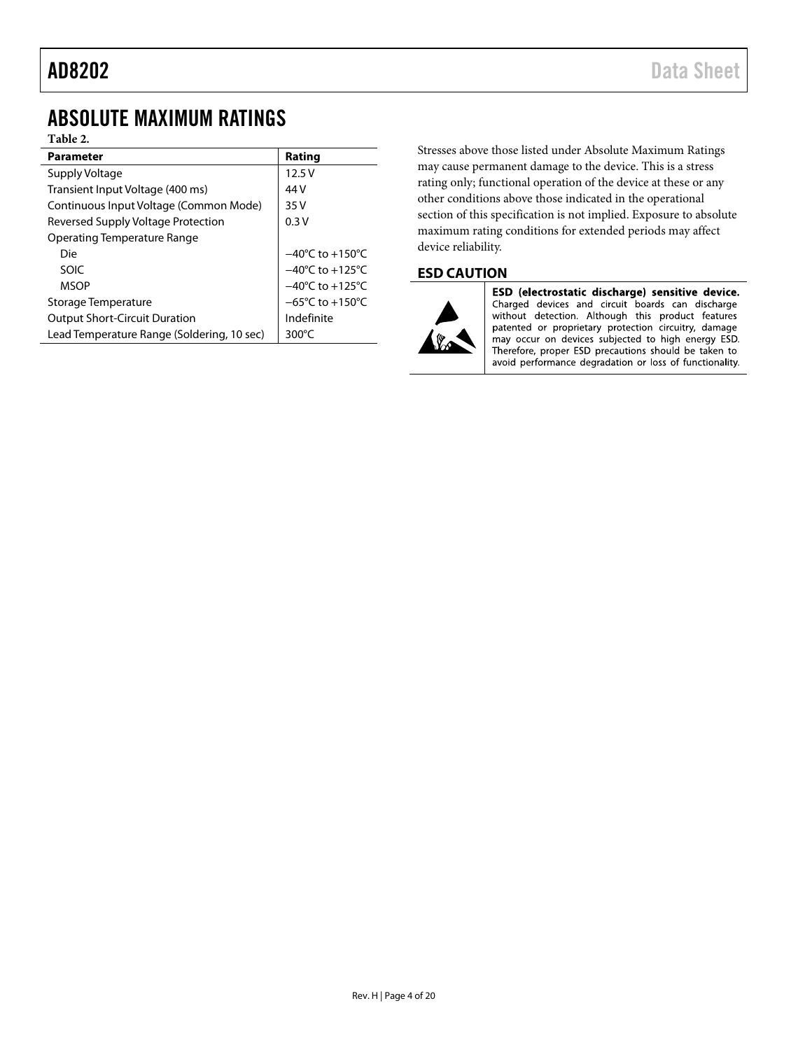## <span id="page-3-0"></span>ABSOLUTE MAXIMUM RATINGS

### **Table 2.**

| <b>Parameter</b>                           | Rating                              |  |  |  |
|--------------------------------------------|-------------------------------------|--|--|--|
| Supply Voltage                             | 12.5V                               |  |  |  |
| Transient Input Voltage (400 ms)           | 44 V                                |  |  |  |
| Continuous Input Voltage (Common Mode)     | 35 V                                |  |  |  |
| Reversed Supply Voltage Protection         | 0.3V                                |  |  |  |
| Operating Temperature Range                |                                     |  |  |  |
| Die                                        | $-40^{\circ}$ C to $+150^{\circ}$ C |  |  |  |
| SOIC                                       | $-40^{\circ}$ C to $+125^{\circ}$ C |  |  |  |
| <b>MSOP</b>                                | $-40^{\circ}$ C to $+125^{\circ}$ C |  |  |  |
| Storage Temperature                        | $-65^{\circ}$ C to $+150^{\circ}$ C |  |  |  |
| <b>Output Short-Circuit Duration</b>       | Indefinite                          |  |  |  |
| Lead Temperature Range (Soldering, 10 sec) | 300 $\degree$ C                     |  |  |  |

Stresses above those listed under Absolute Maximum Ratings may cause permanent damage to the device. This is a stress rating only; functional operation of the device at these or any other conditions above those indicated in the operational section of this specification is not implied. Exposure to absolute maximum rating conditions for extended periods may affect device reliability.

## <span id="page-3-1"></span>**ESD CAUTION**



ESD (electrostatic discharge) sensitive device. Charged devices and circuit boards can discharge without detection. Although this product features<br>patented or proprietary protection circuitry, damage may occur on devices subjected to high energy ESD. Therefore, proper ESD precautions should be taken to avoid performance degradation or loss of functionality.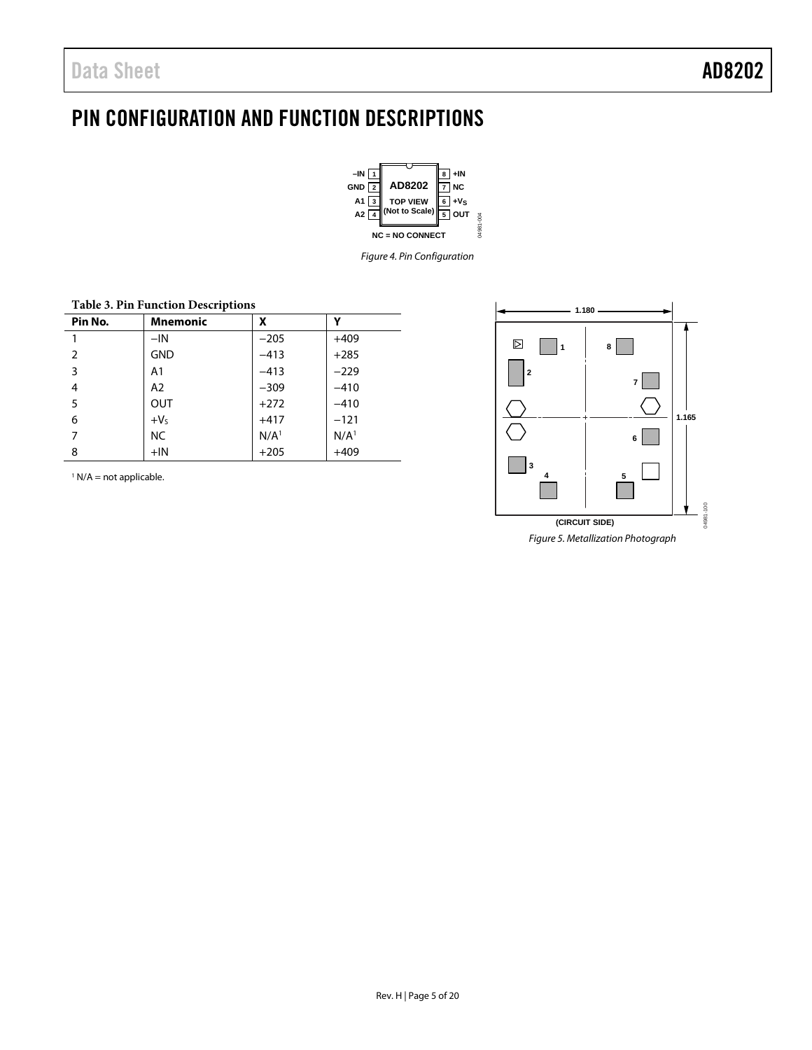## <span id="page-4-0"></span>PIN CONFIGURATION AND FUNCTION DESCRIPTIONS



*Figure 4. Pin Configuration*

| Table 5. F III Function Descriptions |               |                  |                  |  |  |
|--------------------------------------|---------------|------------------|------------------|--|--|
| Pin No.                              | x<br>Mnemonic |                  |                  |  |  |
| 1                                    | $-IN$         | $-205$           | $+409$           |  |  |
| 2                                    | <b>GND</b>    | $-413$           | $+285$           |  |  |
| 3                                    | A1            | $-413$           | $-229$           |  |  |
| 4                                    | A2            | $-309$           | $-410$           |  |  |
| 5                                    | <b>OUT</b>    | $+272$           | $-410$           |  |  |
| 6                                    | $+VS$         | $+417$           | $-121$           |  |  |
| 7                                    | NC.           | N/A <sup>1</sup> | N/A <sup>1</sup> |  |  |
| 8                                    | $+IN$         | $+205$           | $+409$           |  |  |

**Table 3. Pin Function Descriptions**

 $1 N/A$  = not applicable.

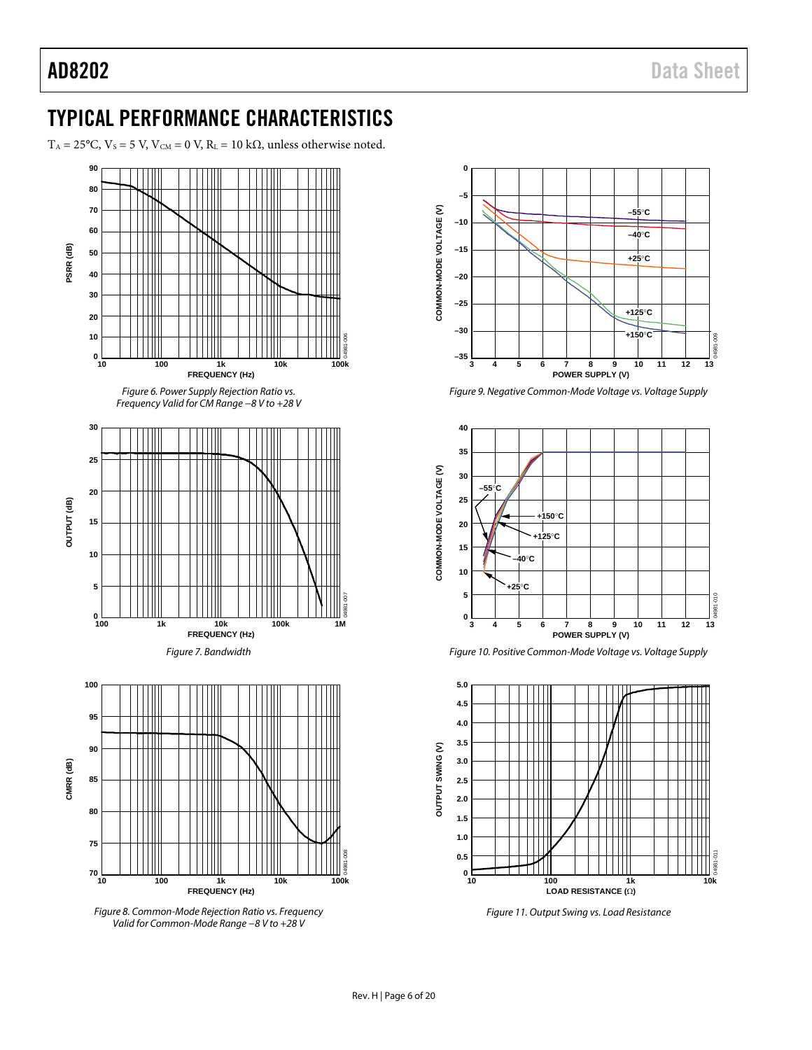## <span id="page-5-0"></span>TYPICAL PERFORMANCE CHARACTERISTICS

T<sub>A</sub> = 25°C, V<sub>S</sub> = 5 V, V<sub>CM</sub> = 0 V, R<sub>L</sub> = 10 kΩ, unless otherwise noted.



*Figure 8. Common-Mode Rejection Ratio vs. Frequency Valid for Common-Mode Range −8 V to +28 V*



*Figure 9. Negative Common-Mode Voltage vs. Voltage Supply*



*Figure 10. Positive Common-Mode Voltage vs. Voltage Supply*



*Figure 11. Output Swing vs. Load Resistance*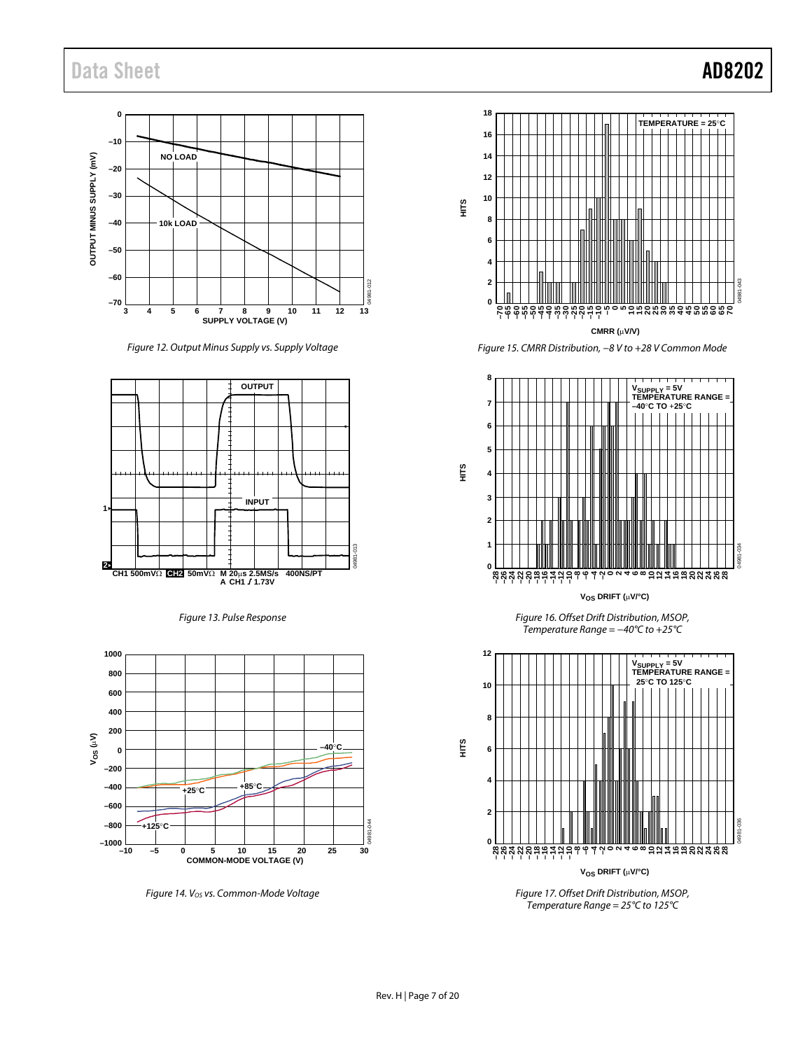## Data Sheet **AD8202**

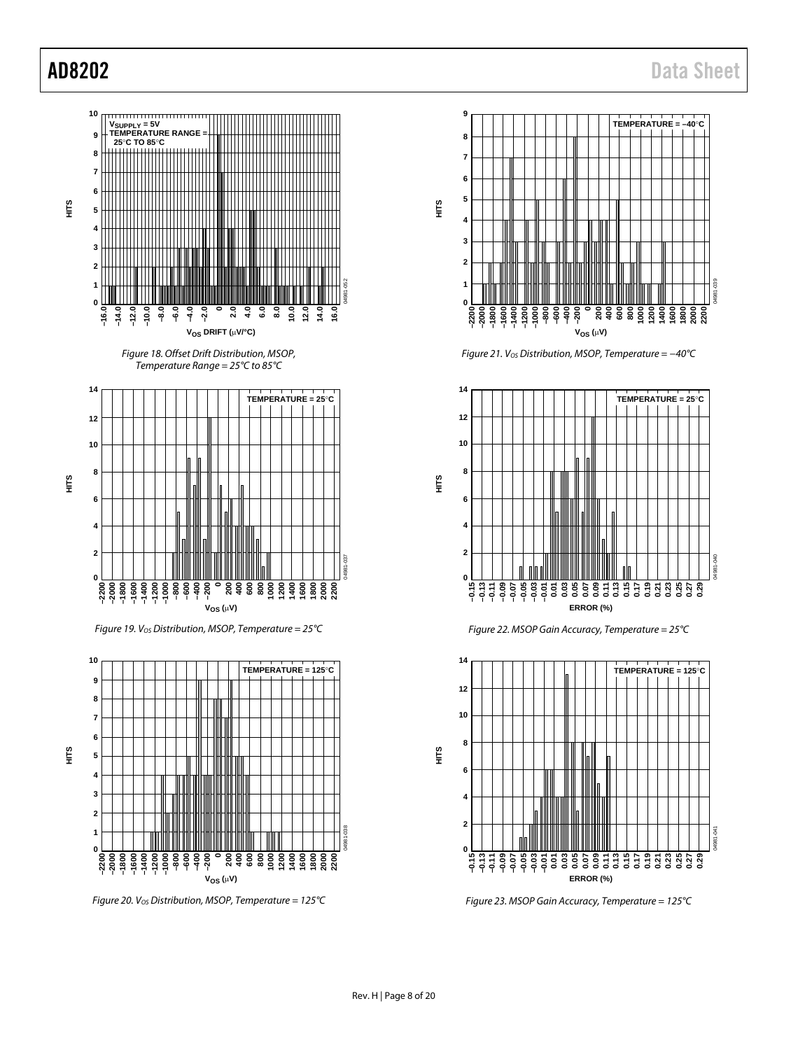

*Figure 20. VOS Distribution, MSOP, Temperature = 125°C*



*Figure 21. VOS Distribution, MSOP, Temperature = −40°C*



*Figure 22. MSOP Gain Accuracy, Temperature = 25°C*



*Figure 23. MSOP Gain Accuracy, Temperature = 125°C*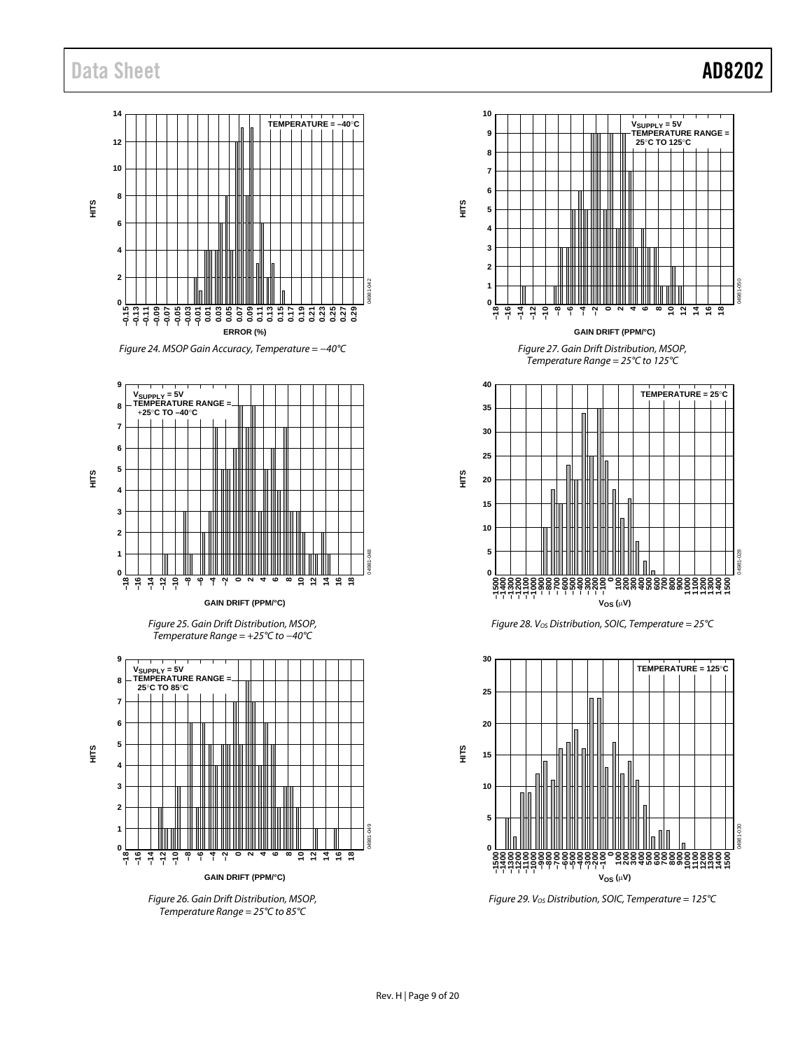## Data Sheet **AD8202**

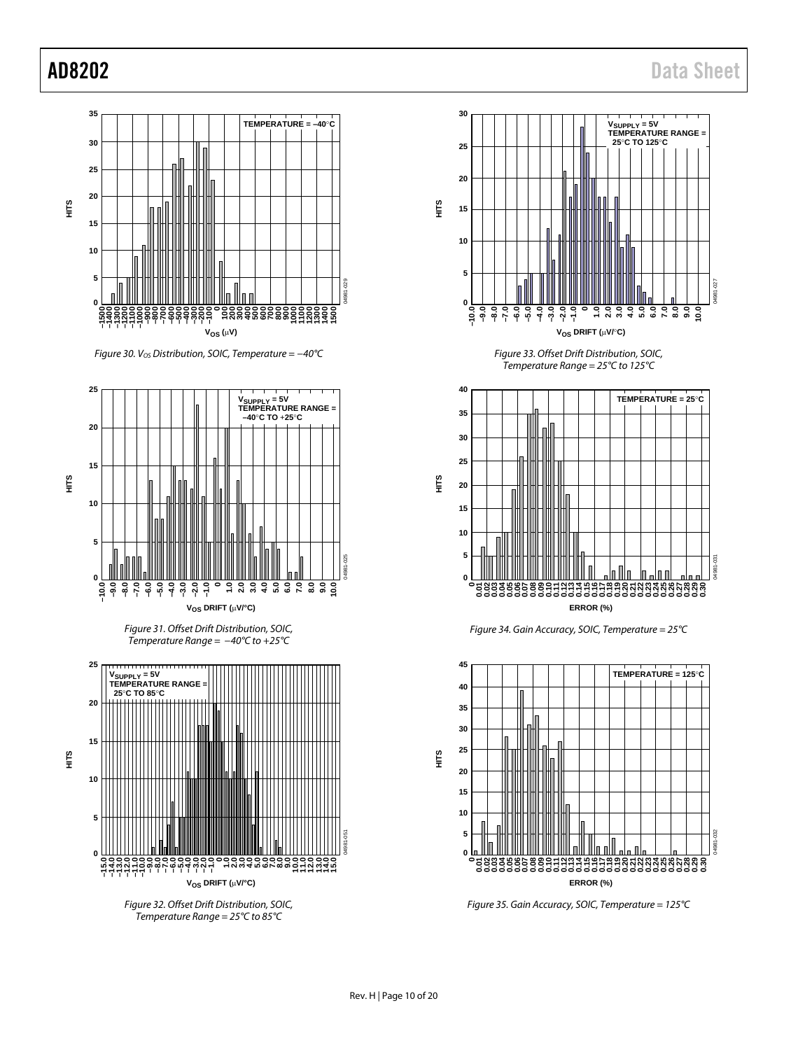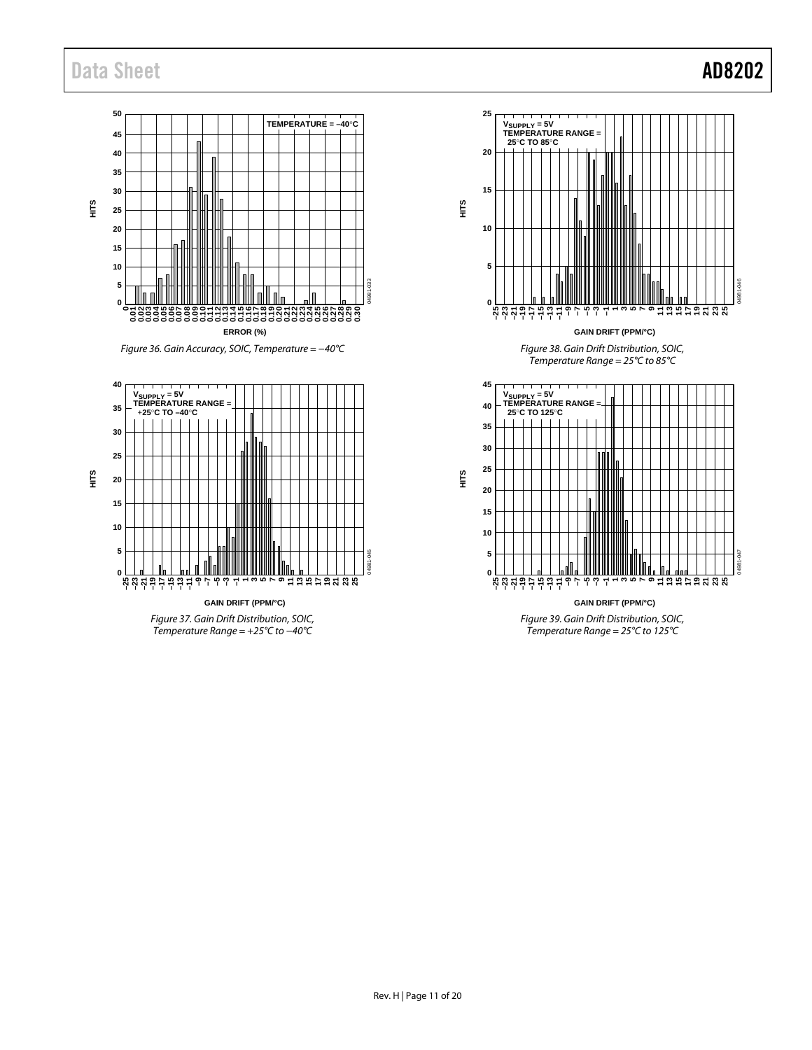## Data Sheet **AD8202**

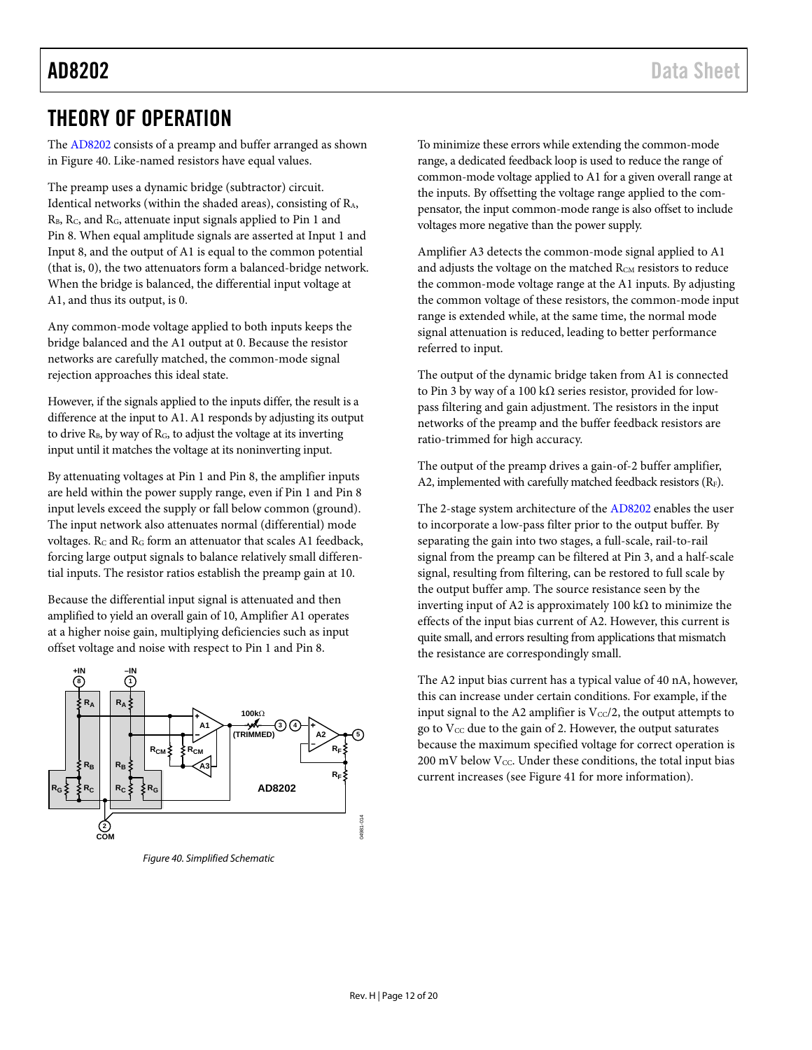## <span id="page-11-0"></span>THEORY OF OPERATION

The [AD8202](http://www.analog.com/AD8202) consists of a preamp and buffer arranged as shown in [Figure 40.](#page-11-1) Like-named resistors have equal values.

The preamp uses a dynamic bridge (subtractor) circuit. Identical networks (within the shaded areas), consisting of RA, R<sub>B</sub>, R<sub>C</sub>, and R<sub>G</sub>, attenuate input signals applied to Pin 1 and Pin 8. When equal amplitude signals are asserted at Input 1 and Input 8, and the output of A1 is equal to the common potential (that is, 0), the two attenuators form a balanced-bridge network. When the bridge is balanced, the differential input voltage at A1, and thus its output, is 0.

Any common-mode voltage applied to both inputs keeps the bridge balanced and the A1 output at 0. Because the resistor networks are carefully matched, the common-mode signal rejection approaches this ideal state.

However, if the signals applied to the inputs differ, the result is a difference at the input to A1. A1 responds by adjusting its output to drive  $R_B$ , by way of  $R_G$ , to adjust the voltage at its inverting input until it matches the voltage at its noninverting input.

By attenuating voltages at Pin 1 and Pin 8, the amplifier inputs are held within the power supply range, even if Pin 1 and Pin 8 input levels exceed the supply or fall below common (ground). The input network also attenuates normal (differential) mode voltages. Rc and RG form an attenuator that scales A1 feedback, forcing large output signals to balance relatively small differential inputs. The resistor ratios establish the preamp gain at 10.

Because the differential input signal is attenuated and then amplified to yield an overall gain of 10, Amplifier A1 operates at a higher noise gain, multiplying deficiencies such as input offset voltage and noise with respect to Pin 1 and Pin 8.



<span id="page-11-1"></span>*Figure 40. Simplified Schematic*

To minimize these errors while extending the common-mode range, a dedicated feedback loop is used to reduce the range of common-mode voltage applied to A1 for a given overall range at the inputs. By offsetting the voltage range applied to the compensator, the input common-mode range is also offset to include voltages more negative than the power supply.

Amplifier A3 detects the common-mode signal applied to A1 and adjusts the voltage on the matched R<sub>CM</sub> resistors to reduce the common-mode voltage range at the A1 inputs. By adjusting the common voltage of these resistors, the common-mode input range is extended while, at the same time, the normal mode signal attenuation is reduced, leading to better performance referred to input.

The output of the dynamic bridge taken from A1 is connected to Pin 3 by way of a 100 kΩ series resistor, provided for lowpass filtering and gain adjustment. The resistors in the input networks of the preamp and the buffer feedback resistors are ratio-trimmed for high accuracy.

The output of the preamp drives a gain-of-2 buffer amplifier, A2, implemented with carefully matched feedback resistors ( $R_F$ ).

The 2-stage system architecture of th[e AD8202](http://www.analog.com/AD8202) enables the user to incorporate a low-pass filter prior to the output buffer. By separating the gain into two stages, a full-scale, rail-to-rail signal from the preamp can be filtered at Pin 3, and a half-scale signal, resulting from filtering, can be restored to full scale by the output buffer amp. The source resistance seen by the inverting input of A2 is approximately 100 kΩ to minimize the effects of the input bias current of A2. However, this current is quite small, and errors resulting from applications that mismatch the resistance are correspondingly small.

The A2 input bias current has a typical value of 40 nA, however, this can increase under certain conditions. For example, if the input signal to the A2 amplifier is  $V_{\text{CC}}/2$ , the output attempts to go to  $V_{CC}$  due to the gain of 2. However, the output saturates because the maximum specified voltage for correct operation is  $200\ \mathrm{mV}$  below Vcc. Under these conditions, the total input bias current increases (see [Figure 41](#page-12-0) for more information).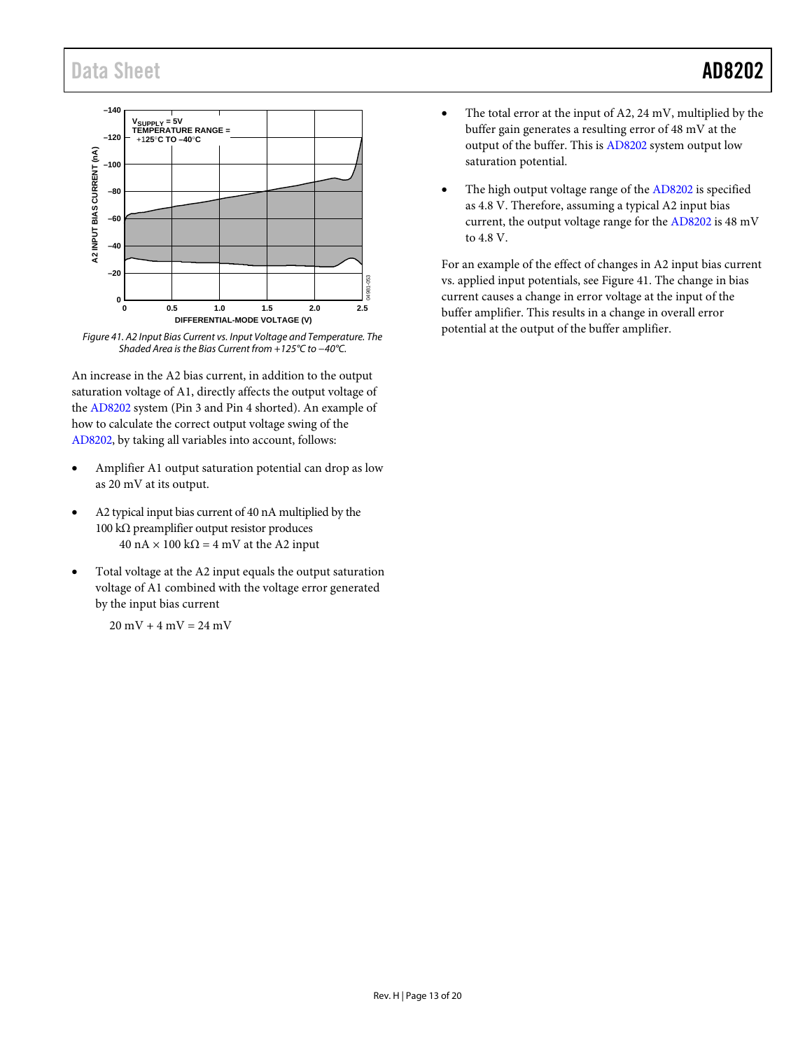

<span id="page-12-0"></span>*Figure 41. A2 Input Bias Current vs. Input Voltage and Temperature. The Shaded Area is the Bias Current from +125°C to −40°C.*

An increase in the A2 bias current, in addition to the output saturation voltage of A1, directly affects the output voltage of the [AD8202](http://www.analog.com/AD8202) system (Pin 3 and Pin 4 shorted). An example of how to calculate the correct output voltage swing of the [AD8202,](http://www.analog.com/AD8202) by taking all variables into account, follows:

- Amplifier A1 output saturation potential can drop as low as 20 mV at its output.
- A2 typical input bias current of 40 nA multiplied by the 100 kΩ preamplifier output resistor produces  $40 \text{ nA} \times 100 \text{ k}\Omega = 4 \text{ mV}$  at the A2 input
- Total voltage at the A2 input equals the output saturation voltage of A1 combined with the voltage error generated by the input bias current

 $20 \text{ mV} + 4 \text{ mV} = 24 \text{ mV}$ 

- The total error at the input of A2, 24 mV, multiplied by the buffer gain generates a resulting error of 48 mV at the output of the buffer. This i[s AD8202](http://www.analog.com/AD8202) system output low saturation potential.
- The high output voltage range of the [AD8202](http://www.analog.com/AD8202) is specified as 4.8 V. Therefore, assuming a typical A2 input bias current, the output voltage range for the [AD8202](http://www.analog.com/AD8202) is 48 mV to 4.8 V.

For an example of the effect of changes in A2 input bias current vs. applied input potentials, see [Figure 41.](#page-12-0) The change in bias current causes a change in error voltage at the input of the buffer amplifier. This results in a change in overall error potential at the output of the buffer amplifier.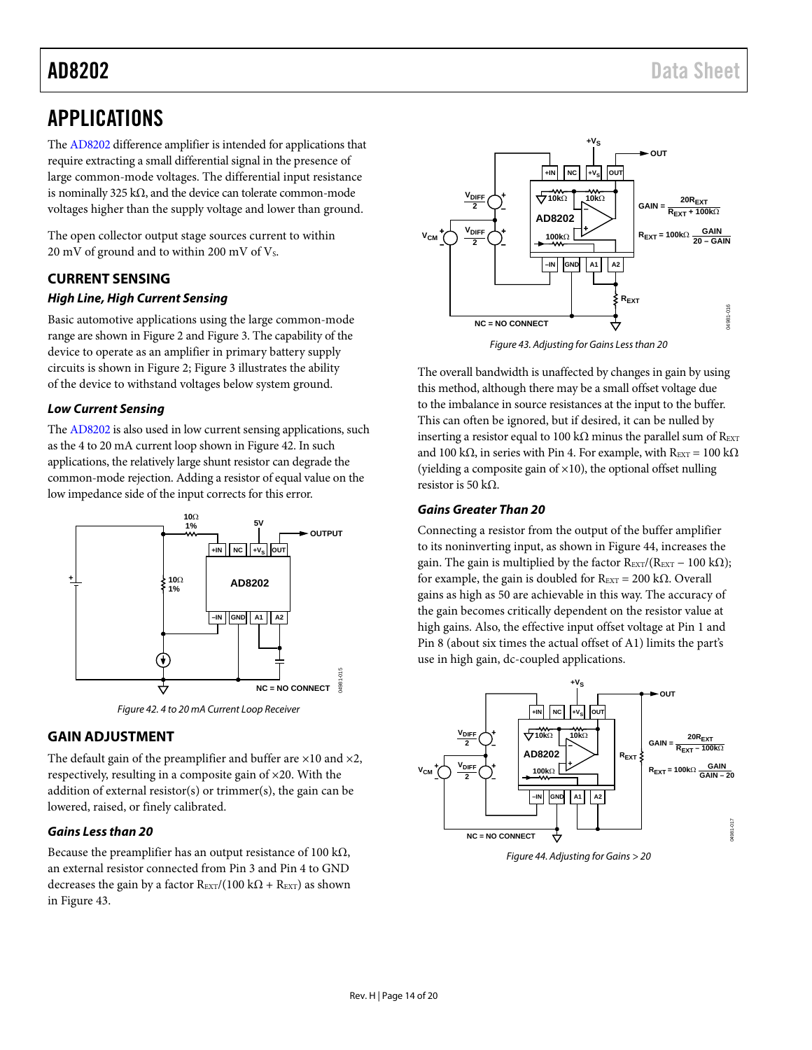## <span id="page-13-0"></span>APPLICATIONS

Th[e AD8202](http://www.analog.com/AD8202) difference amplifier is intended for applications that require extracting a small differential signal in the presence of large common-mode voltages. The differential input resistance is nominally 325 kΩ, and the device can tolerate common-mode voltages higher than the supply voltage and lower than ground.

The open collector output stage sources current to within 20 mV of ground and to within 200 mV of  $V_s$ .

## <span id="page-13-1"></span>**CURRENT SENSING**

## *High Line, High Current Sensing*

Basic automotive applications using the large common-mode range are shown in [Figure 2](#page-0-4) an[d Figure 3.](#page-0-5) The capability of the device to operate as an amplifier in primary battery supply circuits is shown in [Figure 2;](#page-0-4) [Figure 3](#page-0-5) illustrates the ability of the device to withstand voltages below system ground.

## *Low Current Sensing*

Th[e AD8202](http://www.analog.com/AD8202) is also used in low current sensing applications, such as the 4 to 20 mA current loop shown i[n Figure 42.](#page-13-3) In such applications, the relatively large shunt resistor can degrade the common-mode rejection. Adding a resistor of equal value on the low impedance side of the input corrects for this error.



*Figure 42. 4 to 20 mA Current Loop Receiver*

## <span id="page-13-3"></span><span id="page-13-2"></span>**GAIN ADJUSTMENT**

The default gain of the preamplifier and buffer are  $\times 10$  and  $\times 2$ , respectively, resulting in a composite gain of ×20. With the addition of external resistor(s) or trimmer(s), the gain can be lowered, raised, or finely calibrated.

## *Gains Less than 20*

Because the preamplifier has an output resistance of 100 k $\Omega$ , an external resistor connected from Pin 3 and Pin 4 to GND decreases the gain by a factor  $R_{\text{EXT}}/(100 \text{ k}\Omega + R_{\text{EXT}})$  as shown in [Figure 43.](#page-13-4)



*Figure 43. Adjusting for Gains Less than 20*

<span id="page-13-4"></span>The overall bandwidth is unaffected by changes in gain by using this method, although there may be a small offset voltage due to the imbalance in source resistances at the input to the buffer. This can often be ignored, but if desired, it can be nulled by inserting a resistor equal to 100 k $\Omega$  minus the parallel sum of R<sub>EXT</sub> and 100 kΩ, in series with Pin 4. For example, with R<sub>EXT</sub> = 100 kΩ (yielding a composite gain of  $\times$ 10), the optional offset nulling resistor is 50 kΩ.

## *Gains Greater Than 20*

Connecting a resistor from the output of the buffer amplifier to its noninverting input, as shown in [Figure 44,](#page-13-5) increases the gain. The gain is multiplied by the factor R<sub>EXT</sub>/(R<sub>EXT</sub> – 100 kΩ); for example, the gain is doubled for  $R_{\text{EXT}} = 200 \text{ k}\Omega$ . Overall gains as high as 50 are achievable in this way. The accuracy of the gain becomes critically dependent on the resistor value at high gains. Also, the effective input offset voltage at Pin 1 and Pin 8 (about six times the actual offset of A1) limits the part's use in high gain, dc-coupled applications.



<span id="page-13-5"></span>*Figure 44. Adjusting for Gains > 20*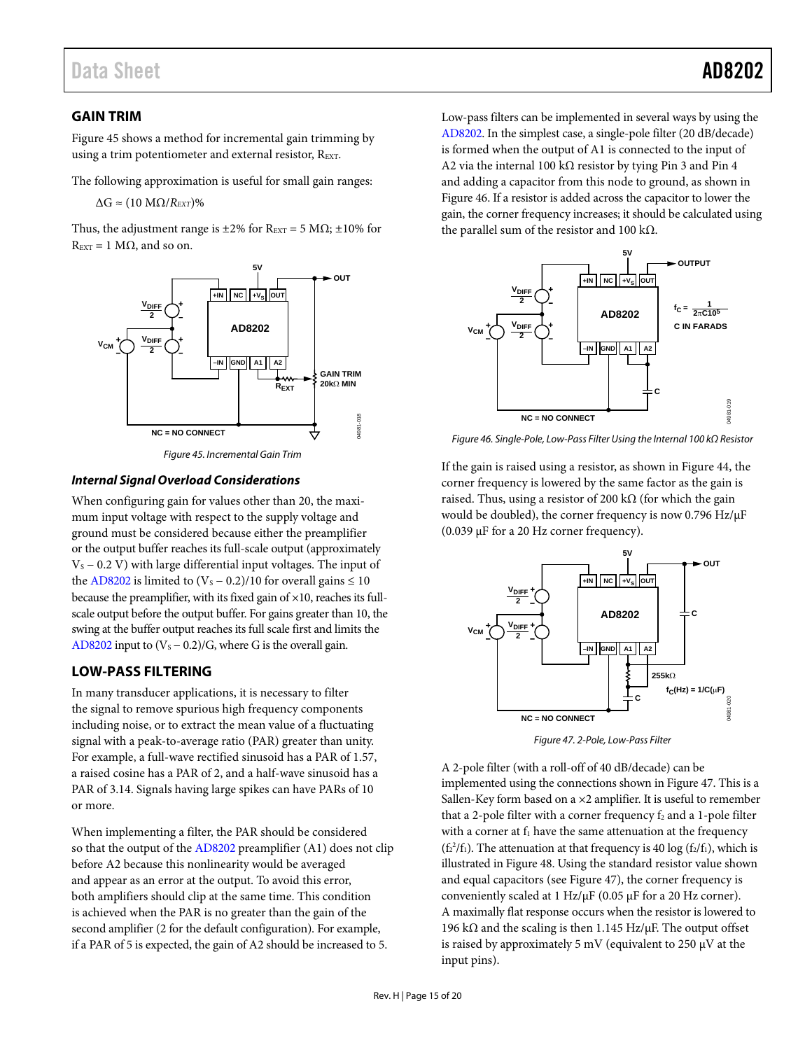## <span id="page-14-0"></span>**GAIN TRIM**

[Figure 45](#page-14-2) shows a method for incremental gain trimming by using a trim potentiometer and external resistor, REXT.

The following approximation is useful for small gain ranges:

 $\Delta G \approx (10 \text{ M}\Omega/R_{EXT})\%$ 

Thus, the adjustment range is  $\pm 2\%$  for R<sub>EXT</sub> = 5 M $\Omega$ ;  $\pm 10\%$  for  $R_{\text{EXT}} = 1 \text{ M}\Omega$ , and so on.





### <span id="page-14-2"></span>*Internal Signal Overload Considerations*

When configuring gain for values other than 20, the maximum input voltage with respect to the supply voltage and ground must be considered because either the preamplifier or the output buffer reaches its full-scale output (approximately  $V<sub>S</sub>$  − 0.2 V) with large differential input voltages. The input of the [AD8202](http://www.analog.com/AD8202) is limited to  $(V<sub>S</sub> – 0.2)/10$  for overall gains  $\leq 10$ because the preamplifier, with its fixed gain of ×10, reaches its fullscale output before the output buffer. For gains greater than 10, the swing at the buffer output reaches its full scale first and limits the [AD8202](http://www.analog.com/AD8202) input to  $(V<sub>S</sub> - 0.2)/G$ , where G is the overall gain.

## <span id="page-14-1"></span>**LOW-PASS FILTERING**

In many transducer applications, it is necessary to filter the signal to remove spurious high frequency components including noise, or to extract the mean value of a fluctuating signal with a peak-to-average ratio (PAR) greater than unity. For example, a full-wave rectified sinusoid has a PAR of 1.57, a raised cosine has a PAR of 2, and a half-wave sinusoid has a PAR of 3.14. Signals having large spikes can have PARs of 10 or more.

When implementing a filter, the PAR should be considered so that the output of the [AD8202](http://www.analog.com/AD8202) preamplifier (A1) does not clip before A2 because this nonlinearity would be averaged and appear as an error at the output. To avoid this error, both amplifiers should clip at the same time. This condition is achieved when the PAR is no greater than the gain of the second amplifier (2 for the default configuration). For example, if a PAR of 5 is expected, the gain of A2 should be increased to 5.

Low-pass filters can be implemented in several ways by using the [AD8202.](http://www.analog.com/AD8202) In the simplest case, a single-pole filter (20 dB/decade) is formed when the output of A1 is connected to the input of A2 via the internal 100 kΩ resistor by tying Pin 3 and Pin 4 and adding a capacitor from this node to ground, as shown in [Figure 46.](#page-14-3) If a resistor is added across the capacitor to lower the gain, the corner frequency increases; it should be calculated using the parallel sum of the resistor and 100 kΩ.



<span id="page-14-3"></span>*Figure 46. Single-Pole, Low-Pass Filter Using the Internal 100 kΩ Resistor*

If the gain is raised using a resistor, as shown in [Figure 44,](#page-13-5) the corner frequency is lowered by the same factor as the gain is raised. Thus, using a resistor of 200 k $\Omega$  (for which the gain would be doubled), the corner frequency is now 0.796 Hz/µF (0.039 µF for a 20 Hz corner frequency).



*Figure 47. 2-Pole, Low-Pass Filter* 

<span id="page-14-4"></span>A 2-pole filter (with a roll-off of 40 dB/decade) can be implemented using the connections shown i[n Figure 47.](#page-14-4) This is a Sallen-Key form based on a ×2 amplifier. It is useful to remember that a 2-pole filter with a corner frequency  $f_2$  and a 1-pole filter with a corner at  $f_1$  have the same attenuation at the frequency ( $f_2^2/f_1$ ). The attenuation at that frequency is 40 log ( $f_2/f_1$ ), which is illustrated i[n Figure 48.](#page-15-2) Using the standard resistor value shown and equal capacitors (se[e Figure 47\)](#page-14-4), the corner frequency is conveniently scaled at 1 Hz/ $\mu$ F (0.05  $\mu$ F for a 20 Hz corner). A maximally flat response occurs when the resistor is lowered to 196 kΩ and the scaling is then 1.145 Hz/ $\mu$ F. The output offset is raised by approximately 5 mV (equivalent to 250  $\mu$ V at the input pins).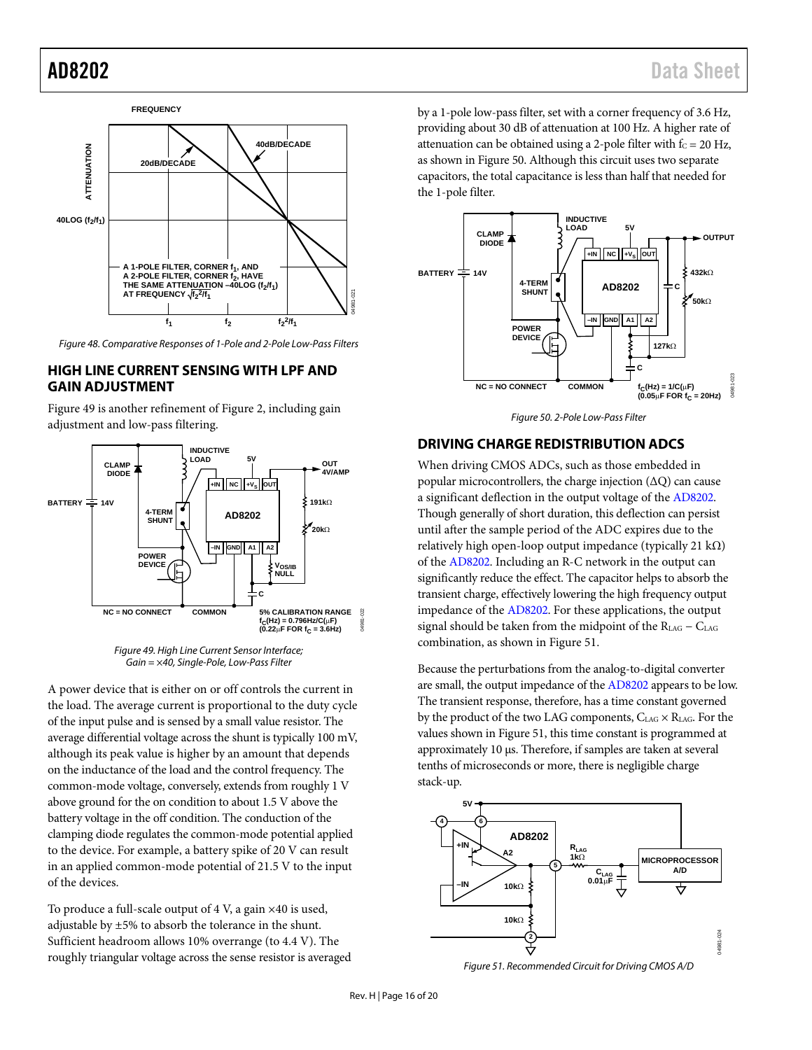

<span id="page-15-2"></span>*Figure 48. Comparative Responses of 1-Pole and 2-Pole Low-Pass Filters* 

## <span id="page-15-0"></span>**HIGH LINE CURRENT SENSING WITH LPF AND GAIN ADJUSTMENT**

[Figure 49](#page-15-3) is another refinement o[f Figure 2,](#page-0-4) including gain adjustment and low-pass filtering.



*Figure 49. High Line Current Sensor Interface; Gain = ×40, Single-Pole, Low-Pass Filter* 

<span id="page-15-3"></span>A power device that is either on or off controls the current in the load. The average current is proportional to the duty cycle of the input pulse and is sensed by a small value resistor. The average differential voltage across the shunt is typically 100 mV, although its peak value is higher by an amount that depends on the inductance of the load and the control frequency. The common-mode voltage, conversely, extends from roughly 1 V above ground for the on condition to about 1.5 V above the battery voltage in the off condition. The conduction of the clamping diode regulates the common-mode potential applied to the device. For example, a battery spike of 20 V can result in an applied common-mode potential of 21.5 V to the input of the devices.

To produce a full-scale output of  $4$  V, a gain  $\times 40$  is used, adjustable by ±5% to absorb the tolerance in the shunt. Sufficient headroom allows 10% overrange (to 4.4 V). The roughly triangular voltage across the sense resistor is averaged by a 1-pole low-pass filter, set with a corner frequency of 3.6 Hz, providing about 30 dB of attenuation at 100 Hz. A higher rate of attenuation can be obtained using a 2-pole filter with  $f_C = 20$  Hz, as shown i[n Figure 50.](#page-15-4) Although this circuit uses two separate capacitors, the total capacitance is less than half that needed for the 1-pole filter.



*Figure 50. 2-Pole Low-Pass Filter*

## <span id="page-15-4"></span><span id="page-15-1"></span>**DRIVING CHARGE REDISTRIBUTION ADCS**

When driving CMOS ADCs, such as those embedded in popular microcontrollers, the charge injection (∆Q) can cause a significant deflection in the output voltage of th[e AD8202.](http://www.analog.com/AD8202) Though generally of short duration, this deflection can persist until after the sample period of the ADC expires due to the relatively high open-loop output impedance (typically 21 kΩ) of the [AD8202.](http://www.analog.com/AD8202) Including an R-C network in the output can significantly reduce the effect. The capacitor helps to absorb the transient charge, effectively lowering the high frequency output impedance of th[e AD8202.](http://www.analog.com/AD8202) For these applications, the output signal should be taken from the midpoint of the  $R_{LAG} - C_{LAG}$ combination, as shown i[n Figure 51.](#page-15-5)

Because the perturbations from the analog-to-digital converter are small, the output impedance of th[e AD8202](http://www.analog.com/AD8202) appears to be low. The transient response, therefore, has a time constant governed by the product of the two LAG components,  $C_{LAG} \times R_{LAG}$ . For the values shown in [Figure 51,](#page-15-5) this time constant is programmed at approximately 10 µs. Therefore, if samples are taken at several tenths of microseconds or more, there is negligible charge stack-up.



<span id="page-15-5"></span>*Figure 51. Recommended Circuit for Driving CMOS A/D*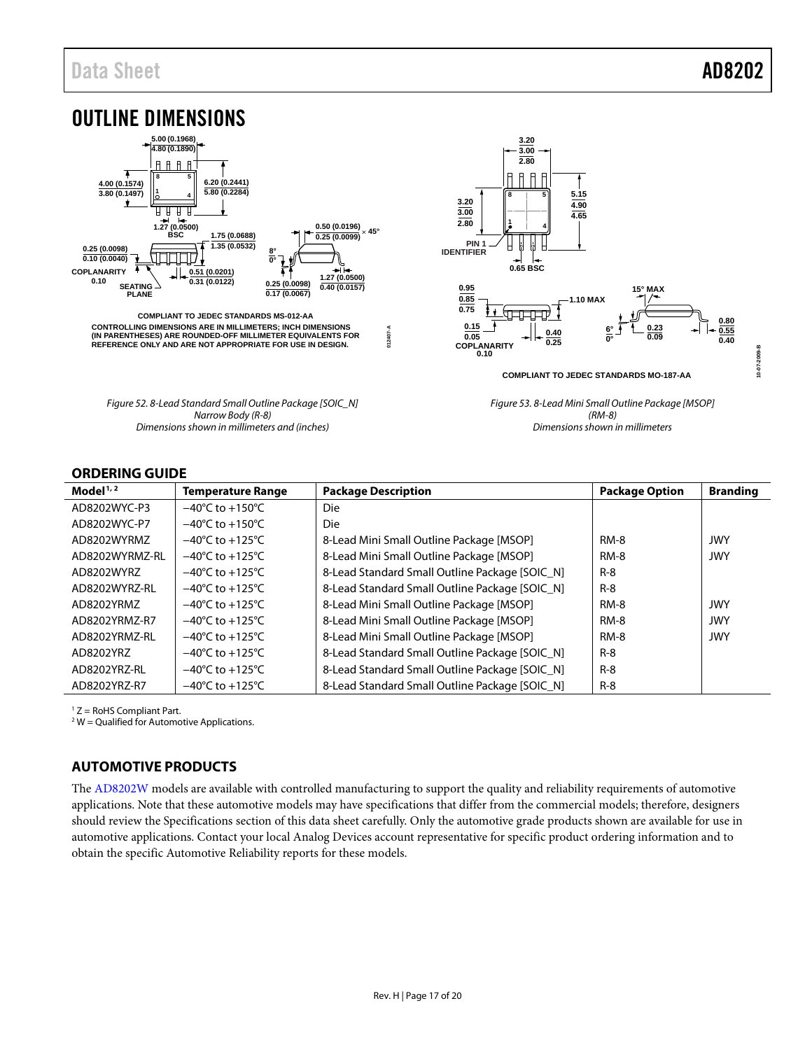<span id="page-16-0"></span>

## <span id="page-16-1"></span>**ORDERING GUIDE**

| Model $1/2$    | <b>Temperature Range</b>            | <b>Package Description</b>                     | <b>Package Option</b> | <b>Branding</b> |
|----------------|-------------------------------------|------------------------------------------------|-----------------------|-----------------|
| AD8202WYC-P3   | $-40^{\circ}$ C to $+150^{\circ}$ C | Die                                            |                       |                 |
| AD8202WYC-P7   | $-40^{\circ}$ C to $+150^{\circ}$ C | Die                                            |                       |                 |
| AD8202WYRMZ    | $-40^{\circ}$ C to $+125^{\circ}$ C | 8-Lead Mini Small Outline Package [MSOP]       | <b>RM-8</b>           | <b>JWY</b>      |
| AD8202WYRMZ-RL | $-40^{\circ}$ C to $+125^{\circ}$ C | 8-Lead Mini Small Outline Package [MSOP]       | $RM-8$                | <b>JWY</b>      |
| AD8202WYRZ     | $-40^{\circ}$ C to $+125^{\circ}$ C | 8-Lead Standard Small Outline Package [SOIC_N] | $R-8$                 |                 |
| AD8202WYRZ-RL  | $-40^{\circ}$ C to $+125^{\circ}$ C | 8-Lead Standard Small Outline Package [SOIC N] | $R-8$                 |                 |
| AD8202YRMZ     | $-40^{\circ}$ C to $+125^{\circ}$ C | 8-Lead Mini Small Outline Package [MSOP]       | <b>RM-8</b>           | <b>JWY</b>      |
| AD8202YRMZ-R7  | $-40^{\circ}$ C to $+125^{\circ}$ C | 8-Lead Mini Small Outline Package [MSOP]       | <b>RM-8</b>           | <b>JWY</b>      |
| AD8202YRMZ-RL  | $-40^{\circ}$ C to $+125^{\circ}$ C | 8-Lead Mini Small Outline Package [MSOP]       | <b>RM-8</b>           | <b>JWY</b>      |
| AD8202YRZ      | $-40^{\circ}$ C to $+125^{\circ}$ C | 8-Lead Standard Small Outline Package [SOIC_N] | $R-8$                 |                 |
| AD8202YRZ-RL   | $-40^{\circ}$ C to $+125^{\circ}$ C | 8-Lead Standard Small Outline Package [SOIC N] | $R-8$                 |                 |
| AD8202YRZ-R7   | $-40^{\circ}$ C to $+125^{\circ}$ C | 8-Lead Standard Small Outline Package [SOIC N] | $R-8$                 |                 |

 $1 Z =$  RoHS Compliant Part.

 $2$  W = Qualified for Automotive Applications.

## <span id="page-16-2"></span>**AUTOMOTIVE PRODUCTS**

The [AD8202W](http://www.analog.com/AD8202) models are available with controlled manufacturing to support the quality and reliability requirements of automotive applications. Note that these automotive models may have specifications that differ from the commercial models; therefore, designers should review th[e Specifications](#page-2-0) section of this data sheet carefully. Only the automotive grade products shown are available for use in automotive applications. Contact your local Analog Devices account representative for specific product ordering information and to obtain the specific Automotive Reliability reports for these models.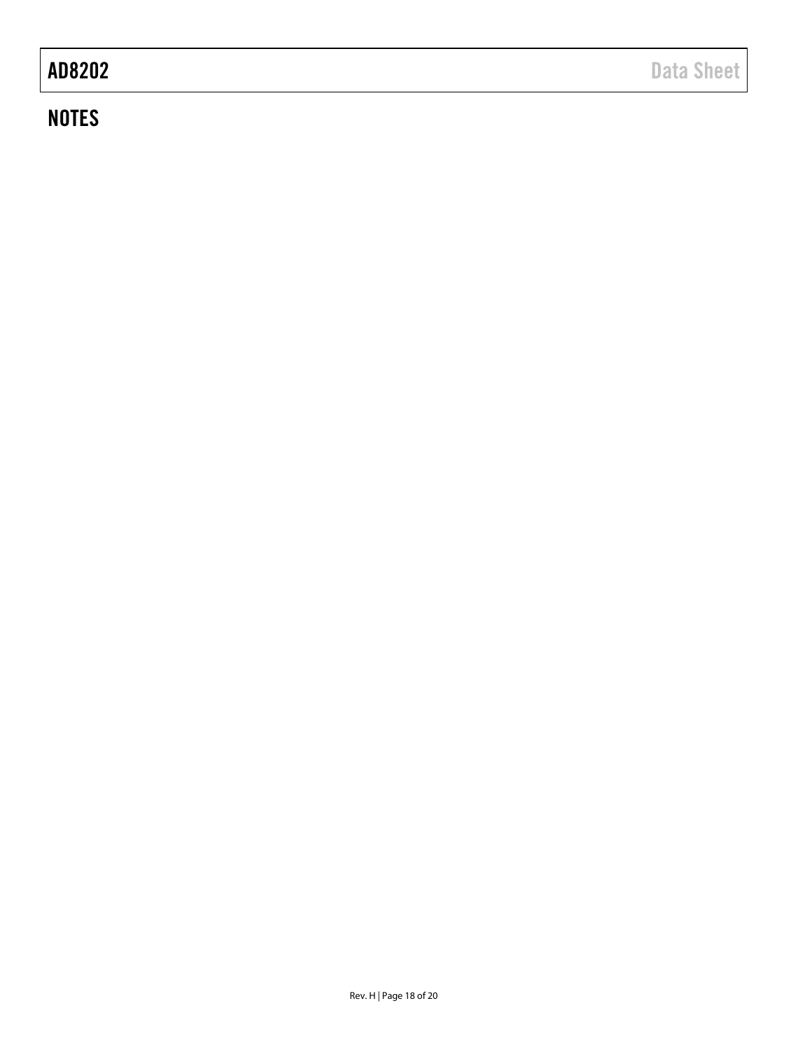## **NOTES**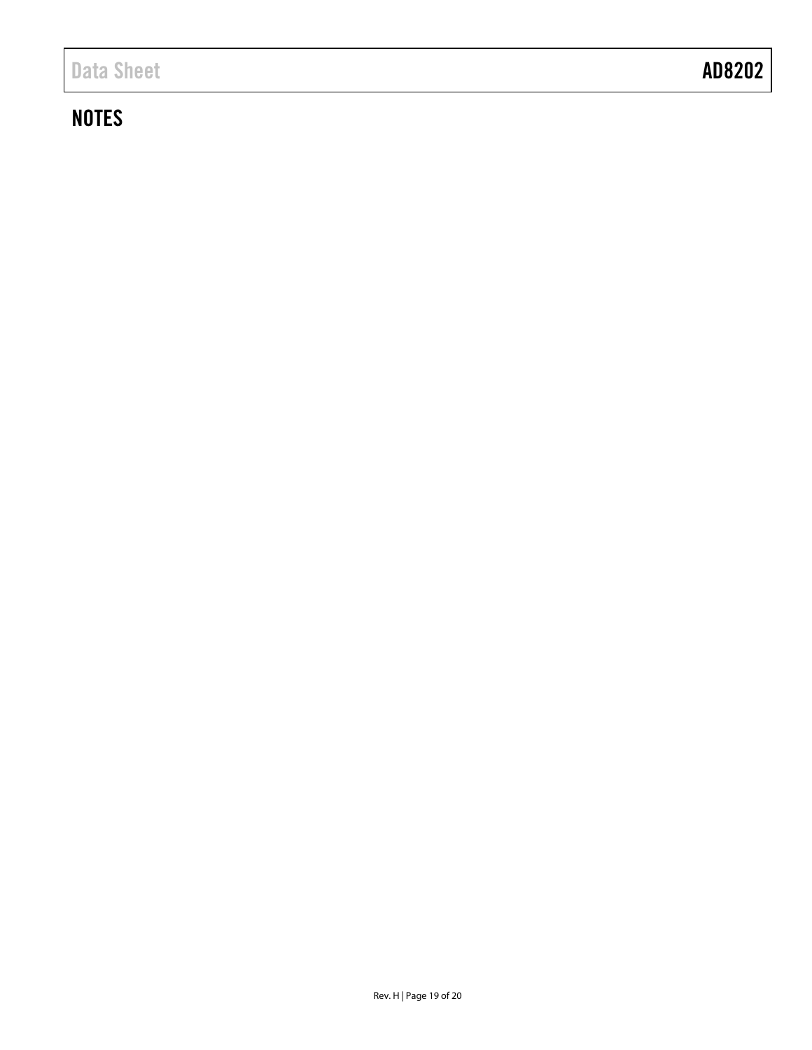## **NOTES**